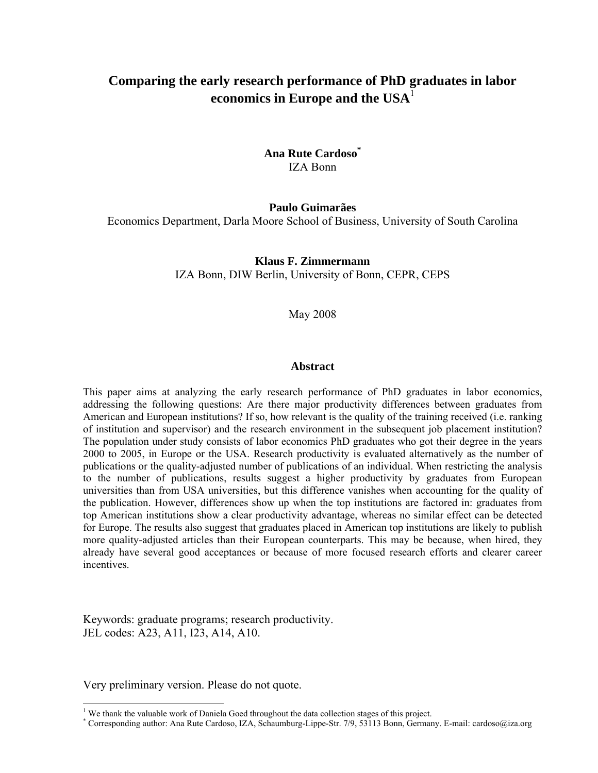## **Comparing the early research performance of PhD graduates in labor economics in Europe and the USA**<sup>1</sup>

**Ana Rute Cardoso\*** IZA Bonn

**Paulo Guimarães** 

Economics Department, Darla Moore School of Business, University of South Carolina

**Klaus F. Zimmermann** 

IZA Bonn, DIW Berlin, University of Bonn, CEPR, CEPS

May 2008

#### **Abstract**

This paper aims at analyzing the early research performance of PhD graduates in labor economics, addressing the following questions: Are there major productivity differences between graduates from American and European institutions? If so, how relevant is the quality of the training received (i.e. ranking of institution and supervisor) and the research environment in the subsequent job placement institution? The population under study consists of labor economics PhD graduates who got their degree in the years 2000 to 2005, in Europe or the USA. Research productivity is evaluated alternatively as the number of publications or the quality-adjusted number of publications of an individual. When restricting the analysis to the number of publications, results suggest a higher productivity by graduates from European universities than from USA universities, but this difference vanishes when accounting for the quality of the publication. However, differences show up when the top institutions are factored in: graduates from top American institutions show a clear productivity advantage, whereas no similar effect can be detected for Europe. The results also suggest that graduates placed in American top institutions are likely to publish more quality-adjusted articles than their European counterparts. This may be because, when hired, they already have several good acceptances or because of more focused research efforts and clearer career incentives.

Keywords: graduate programs; research productivity. JEL codes: A23, A11, I23, A14, A10.

Very preliminary version. Please do not quote.

1

<sup>&</sup>lt;sup>1</sup> We thank the valuable work of Daniela Goed throughout the data collection stages of this project.<br>\* Corresponding outher: Ang Bute Cardese, 17A, Sebsumburg Linne Str. 7/0, 53113 Bonn German

Corresponding author: Ana Rute Cardoso, IZA, Schaumburg-Lippe-Str. 7/9, 53113 Bonn, Germany. E-mail: cardoso@iza.org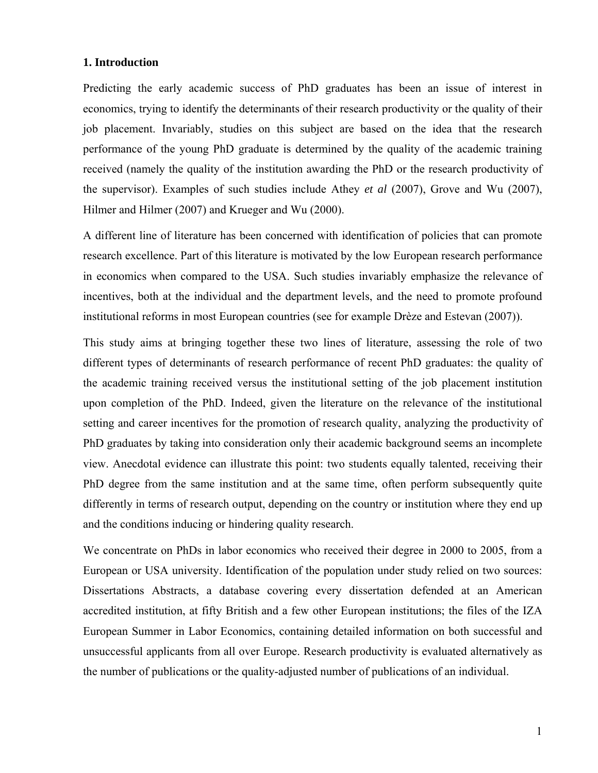### **1. Introduction**

Predicting the early academic success of PhD graduates has been an issue of interest in economics, trying to identify the determinants of their research productivity or the quality of their job placement. Invariably, studies on this subject are based on the idea that the research performance of the young PhD graduate is determined by the quality of the academic training received (namely the quality of the institution awarding the PhD or the research productivity of the supervisor). Examples of such studies include Athey *et al* (2007), Grove and Wu (2007), Hilmer and Hilmer (2007) and Krueger and Wu (2000).

A different line of literature has been concerned with identification of policies that can promote research excellence. Part of this literature is motivated by the low European research performance in economics when compared to the USA. Such studies invariably emphasize the relevance of incentives, both at the individual and the department levels, and the need to promote profound institutional reforms in most European countries (see for example Drèze and Estevan (2007)).

This study aims at bringing together these two lines of literature, assessing the role of two different types of determinants of research performance of recent PhD graduates: the quality of the academic training received versus the institutional setting of the job placement institution upon completion of the PhD. Indeed, given the literature on the relevance of the institutional setting and career incentives for the promotion of research quality, analyzing the productivity of PhD graduates by taking into consideration only their academic background seems an incomplete view. Anecdotal evidence can illustrate this point: two students equally talented, receiving their PhD degree from the same institution and at the same time, often perform subsequently quite differently in terms of research output, depending on the country or institution where they end up and the conditions inducing or hindering quality research.

We concentrate on PhDs in labor economics who received their degree in 2000 to 2005, from a European or USA university. Identification of the population under study relied on two sources: Dissertations Abstracts, a database covering every dissertation defended at an American accredited institution, at fifty British and a few other European institutions; the files of the IZA European Summer in Labor Economics, containing detailed information on both successful and unsuccessful applicants from all over Europe. Research productivity is evaluated alternatively as the number of publications or the quality-adjusted number of publications of an individual.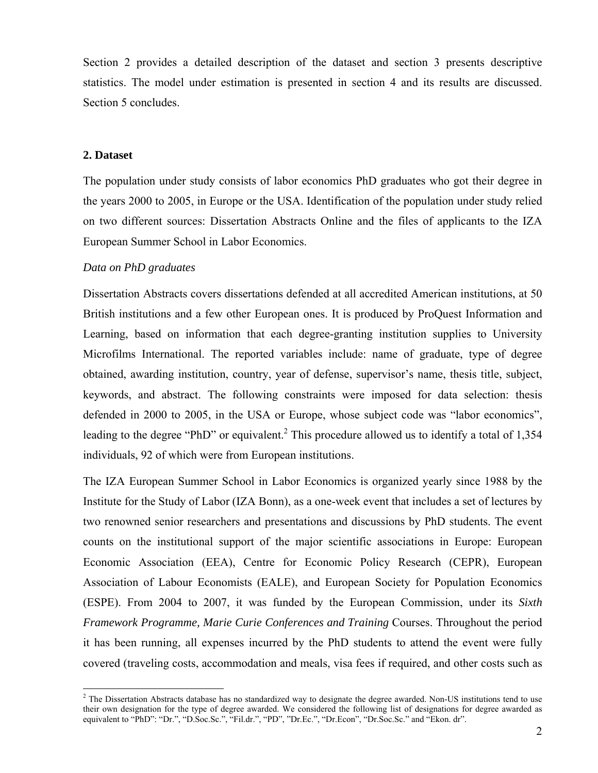Section 2 provides a detailed description of the dataset and section 3 presents descriptive statistics. The model under estimation is presented in section 4 and its results are discussed. Section 5 concludes.

## **2. Dataset**

1

The population under study consists of labor economics PhD graduates who got their degree in the years 2000 to 2005, in Europe or the USA. Identification of the population under study relied on two different sources: Dissertation Abstracts Online and the files of applicants to the IZA European Summer School in Labor Economics.

### *Data on PhD graduates*

Dissertation Abstracts covers dissertations defended at all accredited American institutions, at 50 British institutions and a few other European ones. It is produced by ProQuest Information and Learning, based on information that each degree-granting institution supplies to University Microfilms International. The reported variables include: name of graduate, type of degree obtained, awarding institution, country, year of defense, supervisor's name, thesis title, subject, keywords, and abstract. The following constraints were imposed for data selection: thesis defended in 2000 to 2005, in the USA or Europe, whose subject code was "labor economics", leading to the degree "PhD" or equivalent.<sup>2</sup> This procedure allowed us to identify a total of 1,354 individuals, 92 of which were from European institutions.

The IZA European Summer School in Labor Economics is organized yearly since 1988 by the Institute for the Study of Labor (IZA Bonn), as a one-week event that includes a set of lectures by two renowned senior researchers and presentations and discussions by PhD students. The event counts on the institutional support of the major scientific associations in Europe: European Economic Association (EEA), Centre for Economic Policy Research (CEPR), European Association of Labour Economists (EALE), and European Society for Population Economics (ESPE). From 2004 to 2007, it was funded by the European Commission, under its *Sixth Framework Programme, Marie Curie Conferences and Training* Courses. Throughout the period it has been running, all expenses incurred by the PhD students to attend the event were fully covered (traveling costs, accommodation and meals, visa fees if required, and other costs such as

 $2$  The Dissertation Abstracts database has no standardized way to designate the degree awarded. Non-US institutions tend to use their own designation for the type of degree awarded. We considered the following list of designations for degree awarded as equivalent to "PhD": "Dr.", "D.Soc.Sc.", "Fil.dr.", "PD", "Dr.Ec.", "Dr.Econ", "Dr.Soc.Sc." and "Ekon. dr".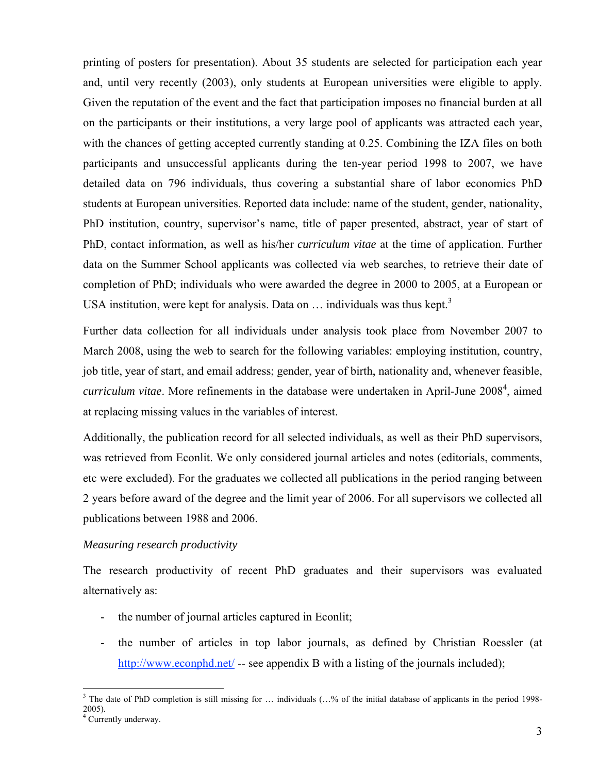printing of posters for presentation). About 35 students are selected for participation each year and, until very recently (2003), only students at European universities were eligible to apply. Given the reputation of the event and the fact that participation imposes no financial burden at all on the participants or their institutions, a very large pool of applicants was attracted each year, with the chances of getting accepted currently standing at 0.25. Combining the IZA files on both participants and unsuccessful applicants during the ten-year period 1998 to 2007, we have detailed data on 796 individuals, thus covering a substantial share of labor economics PhD students at European universities. Reported data include: name of the student, gender, nationality, PhD institution, country, supervisor's name, title of paper presented, abstract, year of start of PhD, contact information, as well as his/her *curriculum vitae* at the time of application. Further data on the Summer School applicants was collected via web searches, to retrieve their date of completion of PhD; individuals who were awarded the degree in 2000 to 2005, at a European or USA institution, were kept for analysis. Data on  $\ldots$  individuals was thus kept.<sup>3</sup>

Further data collection for all individuals under analysis took place from November 2007 to March 2008, using the web to search for the following variables: employing institution, country, job title, year of start, and email address; gender, year of birth, nationality and, whenever feasible, curriculum vitae. More refinements in the database were undertaken in April-June 2008<sup>4</sup>, aimed at replacing missing values in the variables of interest.

Additionally, the publication record for all selected individuals, as well as their PhD supervisors, was retrieved from Econlit. We only considered journal articles and notes (editorials, comments, etc were excluded). For the graduates we collected all publications in the period ranging between 2 years before award of the degree and the limit year of 2006. For all supervisors we collected all publications between 1988 and 2006.

## *Measuring research productivity*

The research productivity of recent PhD graduates and their supervisors was evaluated alternatively as:

- the number of journal articles captured in Econlit;
- the number of articles in top labor journals, as defined by Christian Roessler (at http://www.econphd.net/ -- see appendix B with a listing of the journals included);

The date of PhD completion is still missing for ... individuals (...% of the initial database of applicants in the period 1998-2005).

<sup>4</sup> Currently underway.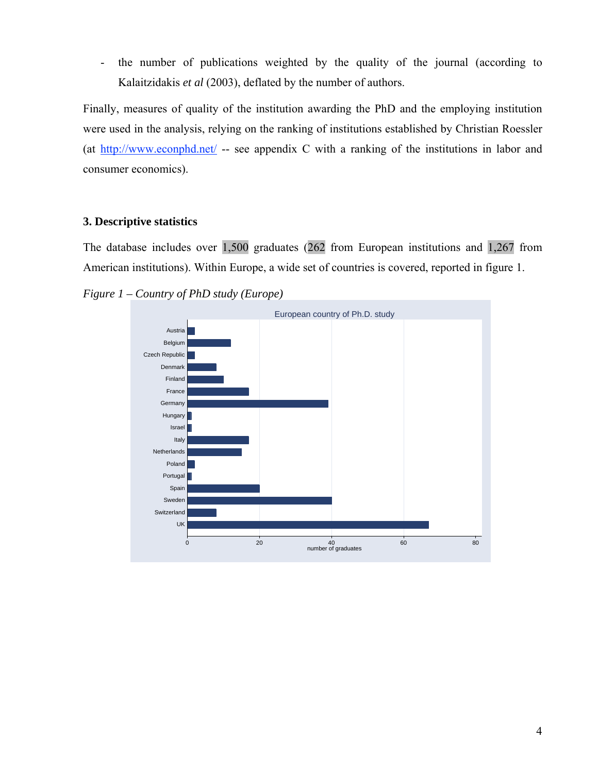- the number of publications weighted by the quality of the journal (according to Kalaitzidakis *et al* (2003), deflated by the number of authors.

Finally, measures of quality of the institution awarding the PhD and the employing institution were used in the analysis, relying on the ranking of institutions established by Christian Roessler (at  $\frac{http://www.ecomphd.net/}$  -- see appendix C with a ranking of the institutions in labor and consumer economics).

## **3. Descriptive statistics**

The database includes over 1,500 graduates (262 from European institutions and 1,267 from American institutions). Within Europe, a wide set of countries is covered, reported in figure 1.

*Figure 1 – Country of PhD study (Europe)* 

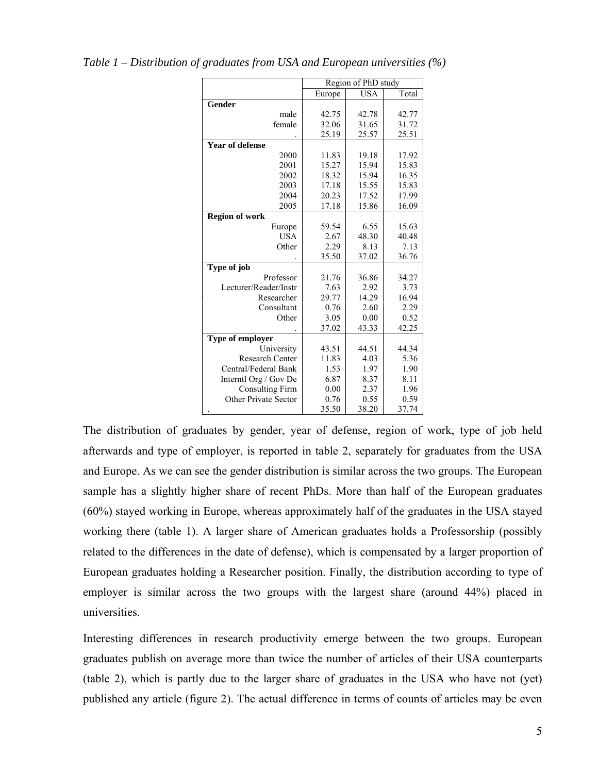|                             | Region of PhD study |            |       |  |  |
|-----------------------------|---------------------|------------|-------|--|--|
|                             | Europe              | <b>USA</b> | Total |  |  |
| Gender                      |                     |            |       |  |  |
| male                        | 42.75               | 42.78      | 42.77 |  |  |
| female                      | 32.06               | 31.65      | 31.72 |  |  |
|                             | 25.19               | 25.57      | 25.51 |  |  |
| <b>Year of defense</b>      |                     |            |       |  |  |
| 2000                        | 11.83               | 19.18      | 17.92 |  |  |
| 2001                        | 15.27               | 15.94      | 15.83 |  |  |
| 2002                        | 18.32               | 15.94      | 16.35 |  |  |
| 2003                        | 17.18               | 15.55      | 15.83 |  |  |
| 2004                        | 20.23               | 17.52      | 17.99 |  |  |
| 2005                        | 17.18               | 15.86      | 16.09 |  |  |
| <b>Region of work</b>       |                     |            |       |  |  |
| Europe                      | 59.54               | 6.55       | 15.63 |  |  |
| <b>USA</b>                  | 2.67                | 48.30      | 40.48 |  |  |
| Other                       | 2.29                | 8.13       | 7.13  |  |  |
|                             | 35.50               | 37.02      | 36.76 |  |  |
| Type of job                 |                     |            |       |  |  |
| Professor                   | 21.76               | 36.86      | 34.27 |  |  |
| Lecturer/Reader/Instr       | 7.63                | 2.92       | 3.73  |  |  |
| Researcher                  | 29.77               | 14.29      | 16.94 |  |  |
| Consultant                  | 0.76                | 2.60       | 2.29  |  |  |
| Other                       | 3.05                | 0.00       | 0.52  |  |  |
|                             | 37.02               | 43.33      | 42.25 |  |  |
| <b>Type of employer</b>     |                     |            |       |  |  |
| University                  | 43.51               | 44.51      | 44.34 |  |  |
| <b>Research Center</b>      | 11.83               | 4.03       | 5.36  |  |  |
| Central/Federal Bank        | 1.53                | 1.97       | 1.90  |  |  |
| Interntl Org / Gov De       | 6.87                | 8.37       | 8.11  |  |  |
| <b>Consulting Firm</b>      | 0.00                | 2.37       | 1.96  |  |  |
| <b>Other Private Sector</b> | 0.76                | 0.55       | 0.59  |  |  |
|                             | 35.50               | 38.20      | 37.74 |  |  |

*Table 1 – Distribution of graduates from USA and European universities (%)* 

The distribution of graduates by gender, year of defense, region of work, type of job held afterwards and type of employer, is reported in table 2, separately for graduates from the USA and Europe. As we can see the gender distribution is similar across the two groups. The European sample has a slightly higher share of recent PhDs. More than half of the European graduates (60%) stayed working in Europe, whereas approximately half of the graduates in the USA stayed working there (table 1). A larger share of American graduates holds a Professorship (possibly related to the differences in the date of defense), which is compensated by a larger proportion of European graduates holding a Researcher position. Finally, the distribution according to type of employer is similar across the two groups with the largest share (around 44%) placed in universities.

Interesting differences in research productivity emerge between the two groups. European graduates publish on average more than twice the number of articles of their USA counterparts (table 2), which is partly due to the larger share of graduates in the USA who have not (yet) published any article (figure 2). The actual difference in terms of counts of articles may be even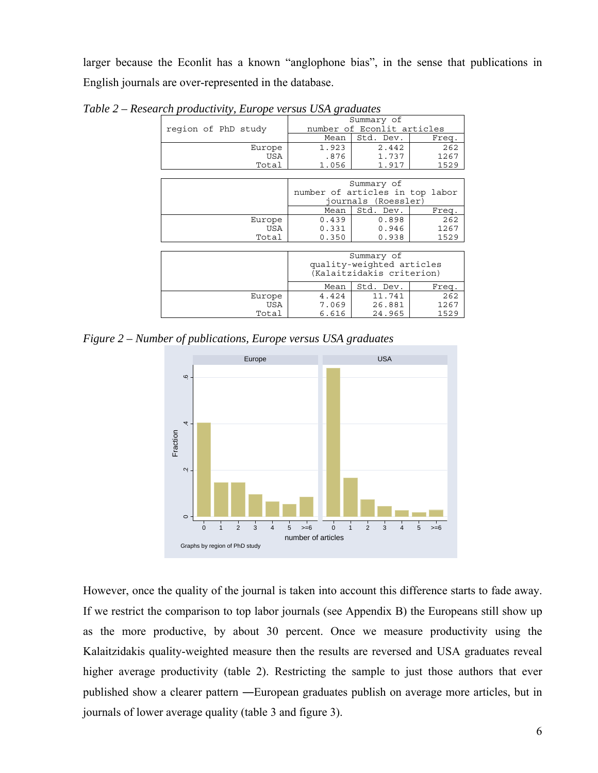larger because the Econlit has a known "anglophone bias", in the sense that publications in English journals are over-represented in the database.

|                     |                           | Summary of                      |       |  |  |  |
|---------------------|---------------------------|---------------------------------|-------|--|--|--|
| region of PhD study |                           | number of Econlit articles      |       |  |  |  |
|                     | Mean                      | Std. Dev.                       | Freq. |  |  |  |
| Europe              | 1.923                     | 2.442                           | 262   |  |  |  |
| USA                 | .876                      | 1.737                           | 1267  |  |  |  |
| Total               | 1.056                     | 1.917                           | 1529  |  |  |  |
|                     |                           |                                 |       |  |  |  |
|                     |                           | Summary of                      |       |  |  |  |
|                     |                           | number of articles in top labor |       |  |  |  |
|                     |                           | journals (Roessler)             |       |  |  |  |
|                     | Mean                      | Std. Dev.                       | Freq. |  |  |  |
| Europe              | 0.439                     | 0.898                           | 262   |  |  |  |
| USA                 | 0.331                     | 0.946                           | 1267  |  |  |  |
| Total               | 0.350                     | 0.938                           | 1529  |  |  |  |
|                     |                           |                                 |       |  |  |  |
|                     |                           | Summary of                      |       |  |  |  |
|                     |                           | quality-weighted articles       |       |  |  |  |
|                     | (Kalaitzidakis criterion) |                                 |       |  |  |  |
|                     | Mean                      | Std. Dev.                       | Freq. |  |  |  |
| Europe              | 4.424                     | 11.741                          | 262   |  |  |  |
| USA                 | 7.069                     | 26.881                          | 1267  |  |  |  |
| Total               | 6.616                     | 24.965                          | 1529  |  |  |  |

*Table 2 – Research productivity, Europe versus USA graduates* 

*Figure 2 – Number of publications, Europe versus USA graduates* 



However, once the quality of the journal is taken into account this difference starts to fade away. If we restrict the comparison to top labor journals (see Appendix B) the Europeans still show up as the more productive, by about 30 percent. Once we measure productivity using the Kalaitzidakis quality-weighted measure then the results are reversed and USA graduates reveal higher average productivity (table 2). Restricting the sample to just those authors that ever published show a clearer pattern ―European graduates publish on average more articles, but in journals of lower average quality (table 3 and figure 3).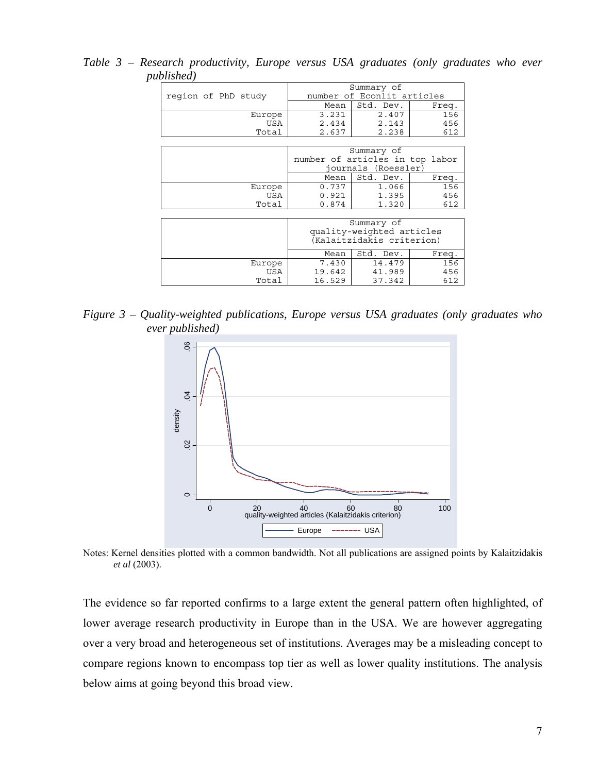| ,,,,,,,,,,,         |                                          |                                 |       |  |  |
|---------------------|------------------------------------------|---------------------------------|-------|--|--|
| region of PhD study | Summary of<br>number of Econlit articles |                                 |       |  |  |
|                     | Mean                                     | Std. Dev.                       | Freq. |  |  |
| Europe              | 3.231                                    | 2.407                           | 156   |  |  |
| USA                 | 2.434                                    | 2.143                           | 456   |  |  |
| Total               | 2.637                                    | 2.238                           | 612   |  |  |
|                     |                                          |                                 |       |  |  |
|                     |                                          | Summary of                      |       |  |  |
|                     |                                          | number of articles in top labor |       |  |  |
|                     | journals (Roessler)                      |                                 |       |  |  |
|                     | Mean                                     | Std. Dev.                       | Freq. |  |  |
| Europe              | 0.737                                    | 1.066                           | 156   |  |  |
| USA                 | 0.921                                    | 1.395                           | 456   |  |  |
| Total               | 0.874                                    | 1.320                           | 612   |  |  |
|                     |                                          |                                 |       |  |  |
|                     |                                          | Summary of                      |       |  |  |
|                     | quality-weighted articles                |                                 |       |  |  |
|                     | (Kalaitzidakis criterion)                |                                 |       |  |  |
|                     | Mean                                     | Std. Dev.                       | Freq. |  |  |
| Europe              | 7.430                                    | 14.479                          | 156   |  |  |
| USA                 | 19.642                                   | 41.989                          | 456   |  |  |
| Total               | 16.529                                   | 37.342                          | 612   |  |  |

*Table 3 – Research productivity, Europe versus USA graduates (only graduates who ever published)* 

*Figure 3 – Quality-weighted publications, Europe versus USA graduates (only graduates who ever published)* 



Notes: Kernel densities plotted with a common bandwidth. Not all publications are assigned points by Kalaitzidakis *et al* (2003).

The evidence so far reported confirms to a large extent the general pattern often highlighted, of lower average research productivity in Europe than in the USA. We are however aggregating over a very broad and heterogeneous set of institutions. Averages may be a misleading concept to compare regions known to encompass top tier as well as lower quality institutions. The analysis below aims at going beyond this broad view.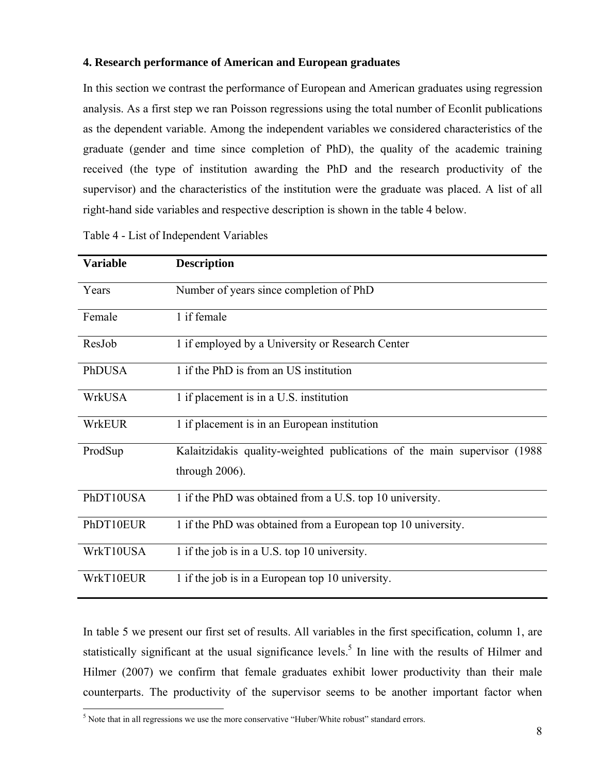## **4. Research performance of American and European graduates**

In this section we contrast the performance of European and American graduates using regression analysis. As a first step we ran Poisson regressions using the total number of Econlit publications as the dependent variable. Among the independent variables we considered characteristics of the graduate (gender and time since completion of PhD), the quality of the academic training received (the type of institution awarding the PhD and the research productivity of the supervisor) and the characteristics of the institution were the graduate was placed. A list of all right-hand side variables and respective description is shown in the table 4 below.

| <b>Variable</b> | <b>Description</b>                                                        |
|-----------------|---------------------------------------------------------------------------|
| Years           | Number of years since completion of PhD                                   |
| Female          | 1 if female                                                               |
| ResJob          | 1 if employed by a University or Research Center                          |
| PhDUSA          | 1 if the PhD is from an US institution                                    |
| <b>WrkUSA</b>   | 1 if placement is in a U.S. institution                                   |
| <b>WrkEUR</b>   | 1 if placement is in an European institution                              |
| ProdSup         | Kalaitzidakis quality-weighted publications of the main supervisor (1988) |
|                 | through $2006$ ).                                                         |
| PhDT10USA       | 1 if the PhD was obtained from a U.S. top 10 university.                  |
| PhDT10EUR       | 1 if the PhD was obtained from a European top 10 university.              |
| WrkT10USA       | 1 if the job is in a U.S. top 10 university.                              |
| WrkT10EUR       | 1 if the job is in a European top 10 university.                          |

Table 4 - List of Independent Variables

In table 5 we present our first set of results. All variables in the first specification, column 1, are statistically significant at the usual significance levels.<sup>5</sup> In line with the results of Hilmer and Hilmer (2007) we confirm that female graduates exhibit lower productivity than their male counterparts. The productivity of the supervisor seems to be another important factor when

<sup>&</sup>lt;sup>5</sup> Note that in all regressions we use the more conservative "Huber/White robust" standard errors.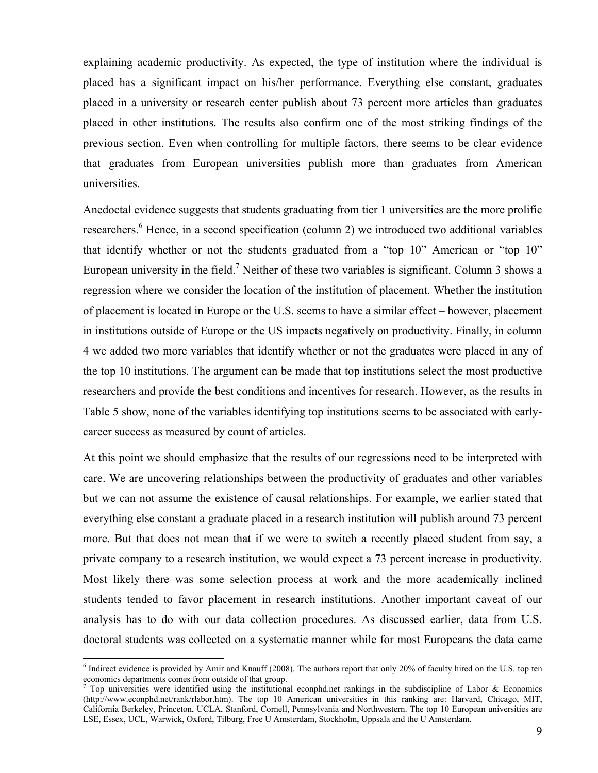explaining academic productivity. As expected, the type of institution where the individual is placed has a significant impact on his/her performance. Everything else constant, graduates placed in a university or research center publish about 73 percent more articles than graduates placed in other institutions. The results also confirm one of the most striking findings of the previous section. Even when controlling for multiple factors, there seems to be clear evidence that graduates from European universities publish more than graduates from American universities.

Anedoctal evidence suggests that students graduating from tier 1 universities are the more prolific researchers.<sup>6</sup> Hence, in a second specification (column 2) we introduced two additional variables that identify whether or not the students graduated from a "top 10" American or "top 10" European university in the field.<sup>7</sup> Neither of these two variables is significant. Column 3 shows a regression where we consider the location of the institution of placement. Whether the institution of placement is located in Europe or the U.S. seems to have a similar effect – however, placement in institutions outside of Europe or the US impacts negatively on productivity. Finally, in column 4 we added two more variables that identify whether or not the graduates were placed in any of the top 10 institutions. The argument can be made that top institutions select the most productive researchers and provide the best conditions and incentives for research. However, as the results in Table 5 show, none of the variables identifying top institutions seems to be associated with earlycareer success as measured by count of articles.

At this point we should emphasize that the results of our regressions need to be interpreted with care. We are uncovering relationships between the productivity of graduates and other variables but we can not assume the existence of causal relationships. For example, we earlier stated that everything else constant a graduate placed in a research institution will publish around 73 percent more. But that does not mean that if we were to switch a recently placed student from say, a private company to a research institution, we would expect a 73 percent increase in productivity. Most likely there was some selection process at work and the more academically inclined students tended to favor placement in research institutions. Another important caveat of our analysis has to do with our data collection procedures. As discussed earlier, data from U.S. doctoral students was collected on a systematic manner while for most Europeans the data came

1

 $6$  Indirect evidence is provided by Amir and Knauff (2008). The authors report that only 20% of faculty hired on the U.S. top ten economics departments comes from outside of that group.

Top universities were identified using the institutional econphd.net rankings in the subdiscipline of Labor & Economics (http://www.econphd.net/rank/rlabor.htm). The top 10 American universities in this ranking are: Harvard, Chicago, MIT, California Berkeley, Princeton, UCLA, Stanford, Cornell, Pennsylvania and Northwestern. The top 10 European universities are LSE, Essex, UCL, Warwick, Oxford, Tilburg, Free U Amsterdam, Stockholm, Uppsala and the U Amsterdam.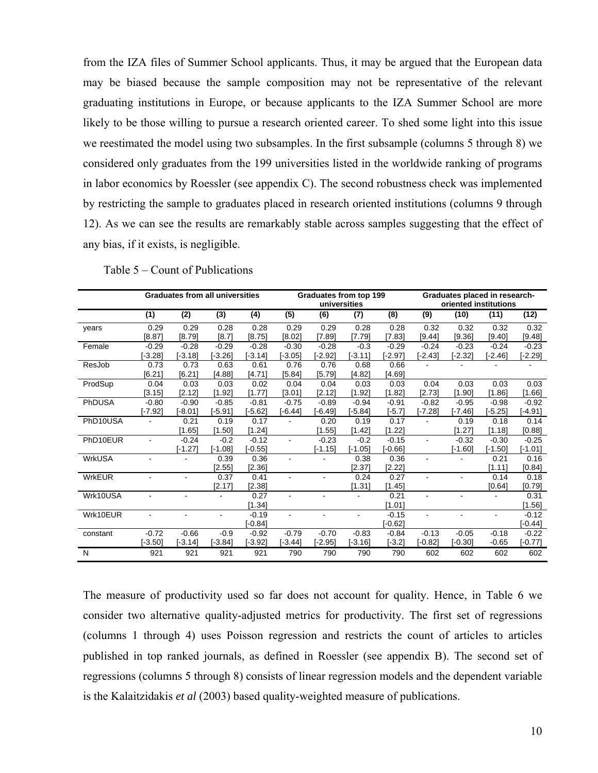from the IZA files of Summer School applicants. Thus, it may be argued that the European data may be biased because the sample composition may not be representative of the relevant graduating institutions in Europe, or because applicants to the IZA Summer School are more likely to be those willing to pursue a research oriented career. To shed some light into this issue we reestimated the model using two subsamples. In the first subsample (columns 5 through 8) we considered only graduates from the 199 universities listed in the worldwide ranking of programs in labor economics by Roessler (see appendix C). The second robustness check was implemented by restricting the sample to graduates placed in research oriented institutions (columns 9 through 12). As we can see the results are remarkably stable across samples suggesting that the effect of any bias, if it exists, is negligible.

|               |                          | <b>Graduates from all universities</b> |                |           | Graduates from top 199<br>universities |                |                |           |           |           | Graduates placed in research-<br>oriented institutions |           |
|---------------|--------------------------|----------------------------------------|----------------|-----------|----------------------------------------|----------------|----------------|-----------|-----------|-----------|--------------------------------------------------------|-----------|
|               | (1)                      | (2)                                    | (3)            | (4)       | (5)                                    | (6)            | (7)            | (8)       | (9)       | (10)      | (11)                                                   | (12)      |
| years         | 0.29                     | 0.29                                   | 0.28           | 0.28      | 0.29                                   | 0.29           | 0.28           | 0.28      | 0.32      | 0.32      | 0.32                                                   | 0.32      |
|               | [8.87]                   | [8.79]                                 | [8.7]          | $[8.75]$  | [8.02]                                 | [7.89]         | [7.79]         | [7.83]    | [9.44]    | [9.36]    | [9.40]                                                 | [9.48]    |
| Female        | $-0.29$                  | $-0.28$                                | $-0.29$        | $-0.28$   | $-0.30$                                | $-0.28$        | $-0.3$         | $-0.29$   | $-0.24$   | $-0.23$   | $-0.24$                                                | $-0.23$   |
|               | $-3.28$ ]                | $[-3.18]$                              | $-3.26$ ]      | $[-3.14]$ | $-3.05$                                | $[-2.92]$      | $[-3.11]$      | $[-2.97]$ | $[-2.43]$ | $[-2.32]$ | $[-2.46]$                                              | $[-2.29]$ |
| ResJob        | 0.73                     | 0.73                                   | 0.63           | 0.61      | 0.76                                   | 0.76           | 0.68           | 0.66      |           |           |                                                        |           |
|               | [6.21]                   | [6.21]                                 | [4.88]         | [4.71]    | [5.84]                                 | [5.79]         | [4.82]         | [4.69]    |           |           |                                                        |           |
| ProdSup       | 0.04                     | 0.03                                   | 0.03           | 0.02      | 0.04                                   | 0.04           | 0.03           | 0.03      | 0.04      | 0.03      | 0.03                                                   | 0.03      |
|               | [3.15]                   | [2.12]                                 | [1.92]         | $[1.77]$  | [3.01]                                 | [2.12]         | [1.92]         | [1.82]    | $[2.73]$  | [1.90]    | [1.86]                                                 | [1.66]    |
| PhDUSA        | $-0.80$                  | $-0.90$                                | $-0.85$        | $-0.81$   | $-0.75$                                | $-0.89$        | $-0.94$        | $-0.91$   | $-0.82$   | $-0.95$   | $-0.98$                                                | $-0.92$   |
|               | $[-7.92]$                | $[-8.01]$                              | $[-5.91]$      | $[-5.62]$ | $[-6.44]$                              | $[-6.49]$      | $[-5.84]$      | $[-5.7]$  | $[-7.28]$ | $[-7.46]$ | $-5.25$ ]                                              | $[-4.91]$ |
| PhD10USA      |                          | 0.21                                   | 0.19           | 0.17      |                                        | 0.20           | 0.19           | 0.17      |           | 0.19      | 0.18                                                   | 0.14      |
|               |                          | [1.65]                                 | [1.50]         | [1.24]    |                                        | $[1.55]$       | [1.42]         | [1.22]    |           | [1.27]    | [1.18]                                                 | [0.88]    |
| PhD10EUR      |                          | $-0.24$                                | $-0.2$         | $-0.12$   | $\mathbf{r}$                           | $-0.23$        | $-0.2$         | $-0.15$   |           | $-0.32$   | $-0.30$                                                | $-0.25$   |
|               |                          | $[-1.27]$                              | $[-1.08]$      | $F-0.551$ |                                        | $[-1.15]$      | $[-1.05]$      | $[-0.66]$ |           | [-1.60]   | $[-1.50]$                                              | $[-1.01]$ |
| <b>WrkUSA</b> | $\overline{\phantom{a}}$ |                                        | 0.39           | 0.36      | $\overline{\phantom{0}}$               | $\blacksquare$ | 0.38           | 0.36      |           | ÷.        | 0.21                                                   | 0.16      |
|               |                          |                                        | $[2.55]$       | [2.36]    |                                        |                | [2.37]         | [2.22]    |           |           | [1.11]                                                 | [0.84]    |
| <b>WrkEUR</b> |                          |                                        | 0.37           | 0.41      |                                        |                | 0.24           | 0.27      |           |           | 0.14                                                   | 0.18      |
|               |                          |                                        | [2.17]         | [2.38]    |                                        |                | [1.31]         | [1.45]    |           |           | [0.64]                                                 | [0.79]    |
| Wrk10USA      |                          |                                        |                | 0.27      |                                        |                |                | 0.21      |           |           |                                                        | 0.31      |
|               |                          |                                        |                | [1.34]    |                                        |                |                | [1.01]    |           |           |                                                        | $[1.56]$  |
| Wrk10EUR      |                          |                                        | $\blacksquare$ | $-0.19$   |                                        | $\sim$         | $\blacksquare$ | $-0.15$   |           |           |                                                        | $-0.12$   |
|               |                          |                                        |                | $[-0.84]$ |                                        |                |                | $[-0.62]$ |           |           |                                                        | $[-0.44]$ |
| constant      | $-0.72$                  | $-0.66$                                | $-0.9$         | $-0.92$   | $-0.79$                                | $-0.70$        | $-0.83$        | $-0.84$   | $-0.13$   | $-0.05$   | $-0.18$                                                | $-0.22$   |
|               | $[-3.50]$                | $[-3.14]$                              | $[-3.84]$      | $[-3.92]$ | $[-3.44]$                              | $[-2.95]$      | $[-3.16]$      | $[-3.2]$  | [-0.82]   | $[-0.30]$ | $-0.65$                                                | $[-0.77]$ |
| N             | 921                      | 921                                    | 921            | 921       | 790                                    | 790            | 790            | 790       | 602       | 602       | 602                                                    | 602       |

Table 5 – Count of Publications

The measure of productivity used so far does not account for quality. Hence, in Table 6 we consider two alternative quality-adjusted metrics for productivity. The first set of regressions (columns 1 through 4) uses Poisson regression and restricts the count of articles to articles published in top ranked journals, as defined in Roessler (see appendix B). The second set of regressions (columns 5 through 8) consists of linear regression models and the dependent variable is the Kalaitzidakis *et al* (2003) based quality-weighted measure of publications.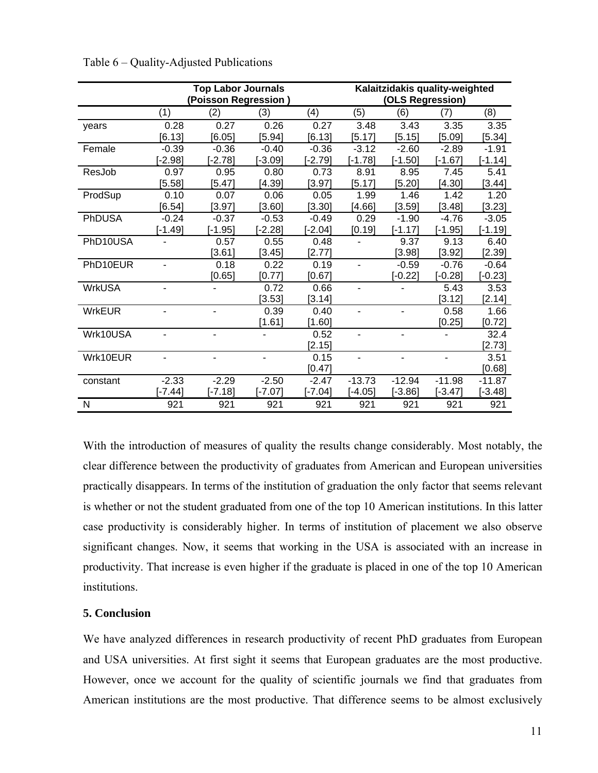|               | <b>Top Labor Journals</b><br>(Poisson Regression) |           |           |           |                          | Kalaitzidakis quality-weighted<br>(OLS Regression) |           |           |
|---------------|---------------------------------------------------|-----------|-----------|-----------|--------------------------|----------------------------------------------------|-----------|-----------|
|               | (1)                                               | (2)       | (3)       | (4)       | (5)                      | (6)                                                | (7)       | (8)       |
| years         | 0.28                                              | 0.27      | 0.26      | 0.27      | 3.48                     | 3.43                                               | 3.35      | 3.35      |
|               | [6.13]                                            | [6.05]    | [5.94]    | [6.13]    | [5.17]                   | [5.15]                                             | [5.09]    | [5.34]    |
| Female        | $-0.39$                                           | $-0.36$   | $-0.40$   | $-0.36$   | $-3.12$                  | $-2.60$                                            | $-2.89$   | $-1.91$   |
|               | $-2.98$ ]                                         | $[-2.78]$ | $[-3.09]$ | $[-2.79]$ | $[-1.78]$                | $[-1.50]$                                          | $[-1.67]$ | $[-1.14]$ |
| ResJob        | 0.97                                              | 0.95      | 0.80      | 0.73      | 8.91                     | 8.95                                               | 7.45      | 5.41      |
|               | [5.58]                                            | [5.47]    | [4.39]    | [3.97]    | [5.17]                   | [5.20]                                             | [4.30]    | [3.44]    |
| ProdSup       | 0.10                                              | 0.07      | 0.06      | 0.05      | 1.99                     | 1.46                                               | 1.42      | 1.20      |
|               | [6.54]                                            | [3.97]    | [3.60]    | [3.30]    | [4.66]                   | [3.59]                                             | [3.48]    | [3.23]    |
| <b>PhDUSA</b> | $-0.24$                                           | $-0.37$   | $-0.53$   | $-0.49$   | 0.29                     | $-1.90$                                            | $-4.76$   | $-3.05$   |
|               | $[-1.49]$                                         | $[-1.95]$ | $[-2.28]$ | $[-2.04]$ | [0.19]                   | $[-1.17]$                                          | $[-1.95]$ | $[-1.19]$ |
| PhD10USA      |                                                   | 0.57      | 0.55      | 0.48      |                          | 9.37                                               | 9.13      | 6.40      |
|               |                                                   | [3.61]    | [3.45]    | [2.77]    |                          | [3.98]                                             | [3.92]    | [2.39]    |
| PhD10EUR      |                                                   | 0.18      | 0.22      | 0.19      | $\overline{\phantom{a}}$ | $-0.59$                                            | $-0.76$   | $-0.64$   |
|               |                                                   | [0.65]    | [0.77]    | [0.67]    |                          | $[-0.22]$                                          | $[-0.28]$ | $[-0.23]$ |
| <b>WrkUSA</b> | $\blacksquare$                                    |           | 0.72      | 0.66      | ۰                        |                                                    | 5.43      | 3.53      |
|               |                                                   |           | [3.53]    | [3.14]    |                          |                                                    | [3.12]    | [2.14]    |
| <b>WrkEUR</b> | $\blacksquare$                                    |           | 0.39      | 0.40      |                          |                                                    | 0.58      | 1.66      |
|               |                                                   |           | [1.61]    | [1.60]    |                          |                                                    | $[0.25]$  | [0.72]    |
| Wrk10USA      |                                                   |           |           | 0.52      |                          |                                                    |           | 32.4      |
|               |                                                   |           |           | [2.15]    |                          |                                                    |           | [2.73]    |
| Wrk10EUR      |                                                   |           |           | 0.15      |                          |                                                    |           | 3.51      |
|               |                                                   |           |           | [0.47]    |                          |                                                    |           | [0.68]    |
| constant      | $-2.33$                                           | $-2.29$   | $-2.50$   | $-2.47$   | $-13.73$                 | $-12.94$                                           | $-11.98$  | $-11.87$  |
|               | $[-7.44]$                                         | $[-7.18]$ | $[-7.07]$ | $[-7.04]$ | $[-4.05]$                | $[-3.86]$                                          | $[-3.47]$ | $[-3.48]$ |
| N             | 921                                               | 921       | 921       | 921       | 921                      | 921                                                | 921       | 921       |

Table 6 – Quality-Adjusted Publications

With the introduction of measures of quality the results change considerably. Most notably, the clear difference between the productivity of graduates from American and European universities practically disappears. In terms of the institution of graduation the only factor that seems relevant is whether or not the student graduated from one of the top 10 American institutions. In this latter case productivity is considerably higher. In terms of institution of placement we also observe significant changes. Now, it seems that working in the USA is associated with an increase in productivity. That increase is even higher if the graduate is placed in one of the top 10 American institutions.

## **5. Conclusion**

We have analyzed differences in research productivity of recent PhD graduates from European and USA universities. At first sight it seems that European graduates are the most productive. However, once we account for the quality of scientific journals we find that graduates from American institutions are the most productive. That difference seems to be almost exclusively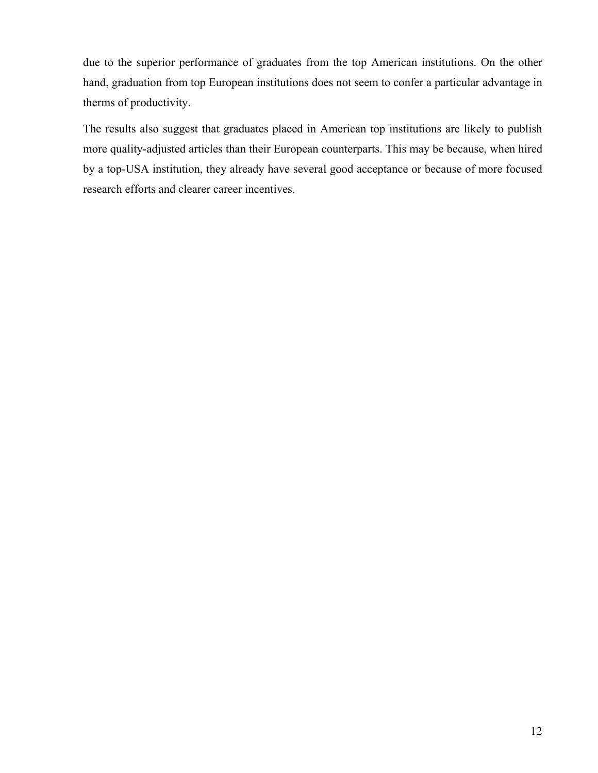due to the superior performance of graduates from the top American institutions. On the other hand, graduation from top European institutions does not seem to confer a particular advantage in therms of productivity.

The results also suggest that graduates placed in American top institutions are likely to publish more quality-adjusted articles than their European counterparts. This may be because, when hired by a top-USA institution, they already have several good acceptance or because of more focused research efforts and clearer career incentives.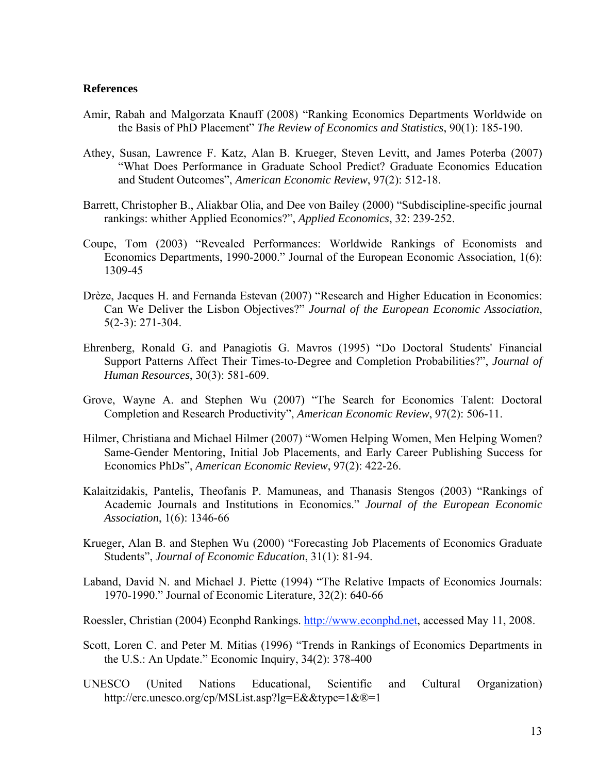## **References**

- Amir, Rabah and Malgorzata Knauff (2008) "Ranking Economics Departments Worldwide on the Basis of PhD Placement" *The Review of Economics and Statistics*, 90(1): 185-190.
- Athey, Susan, Lawrence F. Katz, Alan B. Krueger, Steven Levitt, and James Poterba (2007) "What Does Performance in Graduate School Predict? Graduate Economics Education and Student Outcomes", *American Economic Review*, 97(2): 512-18.
- Barrett, Christopher B., Aliakbar Olia, and Dee von Bailey (2000) "Subdiscipline-specific journal rankings: whither Applied Economics?", *Applied Economics*, 32: 239-252.
- Coupe, Tom (2003) "Revealed Performances: Worldwide Rankings of Economists and Economics Departments, 1990-2000." Journal of the European Economic Association, 1(6): 1309-45
- Drèze, Jacques H. and Fernanda Estevan (2007) "Research and Higher Education in Economics: Can We Deliver the Lisbon Objectives?" *Journal of the European Economic Association*, 5(2-3): 271-304.
- Ehrenberg, Ronald G. and Panagiotis G. Mavros (1995) "Do Doctoral Students' Financial Support Patterns Affect Their Times-to-Degree and Completion Probabilities?", *Journal of Human Resources*, 30(3): 581-609.
- Grove, Wayne A. and Stephen Wu (2007) "The Search for Economics Talent: Doctoral Completion and Research Productivity", *American Economic Review*, 97(2): 506-11.
- Hilmer, Christiana and Michael Hilmer (2007) "Women Helping Women, Men Helping Women? Same-Gender Mentoring, Initial Job Placements, and Early Career Publishing Success for Economics PhDs", *American Economic Review*, 97(2): 422-26.
- Kalaitzidakis, Pantelis, Theofanis P. Mamuneas, and Thanasis Stengos (2003) "Rankings of Academic Journals and Institutions in Economics." *Journal of the European Economic Association*, 1(6): 1346-66
- Krueger, Alan B. and Stephen Wu (2000) "Forecasting Job Placements of Economics Graduate Students", *Journal of Economic Education*, 31(1): 81-94.
- Laband, David N. and Michael J. Piette (1994) "The Relative Impacts of Economics Journals: 1970-1990." Journal of Economic Literature, 32(2): 640-66
- Roessler, Christian (2004) Econphd Rankings. http://www.econphd.net, accessed May 11, 2008.
- Scott, Loren C. and Peter M. Mitias (1996) "Trends in Rankings of Economics Departments in the U.S.: An Update." Economic Inquiry, 34(2): 378-400
- UNESCO (United Nations Educational, Scientific and Cultural Organization) http://erc.unesco.org/cp/MSList.asp?lg=E&&type=1&®=1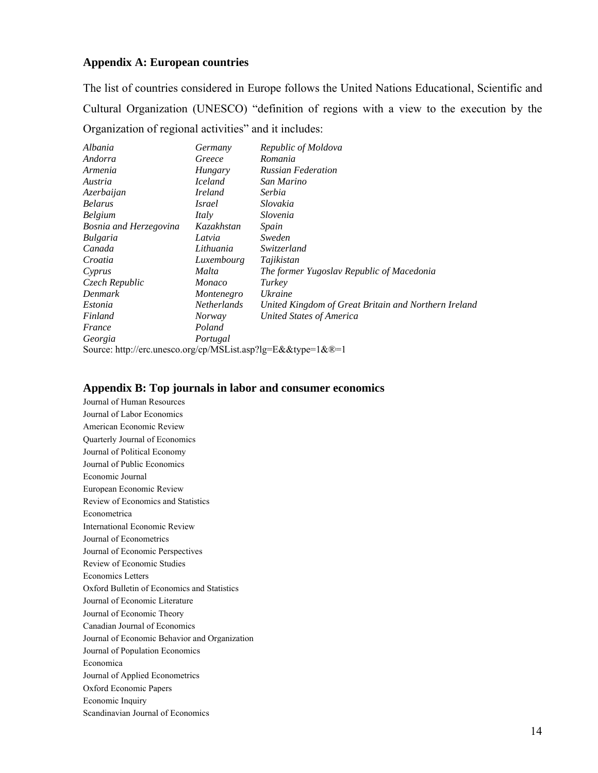## **Appendix A: European countries**

The list of countries considered in Europe follows the United Nations Educational, Scientific and Cultural Organization (UNESCO) "definition of regions with a view to the execution by the Organization of regional activities" and it includes:

| Albania                                                      | Germany            | Republic of Moldova                                  |
|--------------------------------------------------------------|--------------------|------------------------------------------------------|
| Andorra                                                      | Greece             | Romania                                              |
| Armenia                                                      | Hungary            | <b>Russian Federation</b>                            |
| Austria                                                      | <i>Iceland</i>     | San Marino                                           |
| Azerbaijan                                                   | <i>Ireland</i>     | Serbia                                               |
| <b>Belarus</b>                                               | <i>Israel</i>      | Slovakia                                             |
| <b>Belgium</b>                                               | Italy              | Slovenia                                             |
| <b>Bosnia and Herzegovina</b>                                | Kazakhstan         | Spain                                                |
| <b>Bulgaria</b>                                              | Latvia             | Sweden                                               |
| Canada                                                       | Lithuania          | Switzerland                                          |
| Croatia                                                      | Luxembourg         | Tajikistan                                           |
| Cyprus                                                       | Malta              | The former Yugoslav Republic of Macedonia            |
| Czech Republic                                               | Monaco             | Turkey                                               |
| Denmark                                                      | Montenegro         | <i>Ukraine</i>                                       |
| Estonia                                                      | <i>Netherlands</i> | United Kingdom of Great Britain and Northern Ireland |
| Finland                                                      | <i>Norway</i>      | United States of America                             |
| France                                                       | Poland             |                                                      |
| Georgia                                                      | Portugal           |                                                      |
| Source: http://erc.unesco.org/cp/MSList.asp?lg=E&&type=1&®=1 |                    |                                                      |

## **Appendix B: Top journals in labor and consumer economics**

Journal of Human Resources Journal of Labor Economics American Economic Review Quarterly Journal of Economics Journal of Political Economy Journal of Public Economics Economic Journal European Economic Review Review of Economics and Statistics Econometrica International Economic Review Journal of Econometrics Journal of Economic Perspectives Review of Economic Studies Economics Letters Oxford Bulletin of Economics and Statistics Journal of Economic Literature Journal of Economic Theory Canadian Journal of Economics Journal of Economic Behavior and Organization Journal of Population Economics Economica Journal of Applied Econometrics Oxford Economic Papers Economic Inquiry Scandinavian Journal of Economics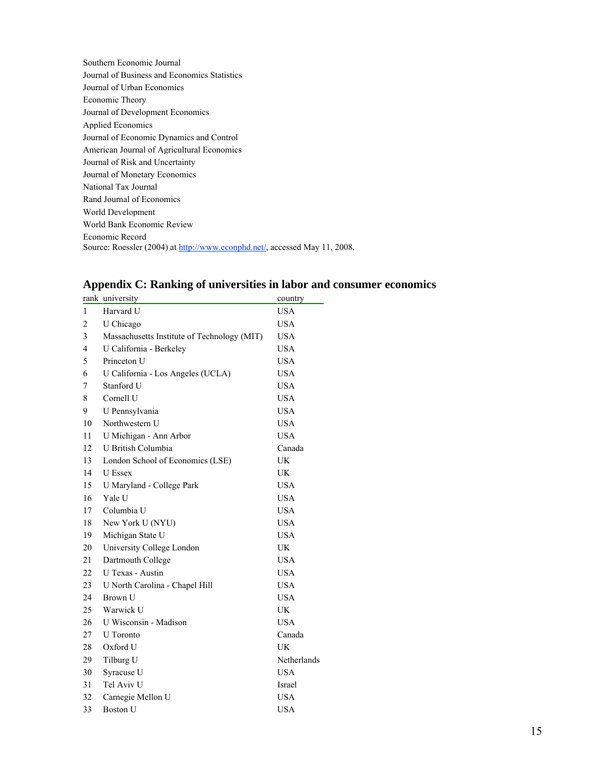| Southern Economic Journal                                                  |
|----------------------------------------------------------------------------|
| Journal of Business and Economics Statistics                               |
| Journal of Urban Economics                                                 |
| Economic Theory                                                            |
| Journal of Development Economics                                           |
| <b>Applied Economics</b>                                                   |
| Journal of Economic Dynamics and Control                                   |
| American Journal of Agricultural Economics                                 |
| Journal of Risk and Uncertainty                                            |
| Journal of Monetary Economics                                              |
| National Tax Journal                                                       |
| Rand Journal of Economics                                                  |
| World Development                                                          |
| World Bank Economic Review                                                 |
| Economic Record                                                            |
| Source: Roessler (2004) at http://www.econphd.net/, accessed May 11, 2008. |

# **Appendix C: Ranking of universities in labor and consumer economics**

|    | rank university                             | country     |
|----|---------------------------------------------|-------------|
| 1  | Harvard U                                   | <b>USA</b>  |
| 2  | U Chicago                                   | <b>USA</b>  |
| 3  | Massachusetts Institute of Technology (MIT) | <b>USA</b>  |
| 4  | U California - Berkeley                     | <b>USA</b>  |
| 5  | Princeton U                                 | <b>USA</b>  |
| 6  | U California - Los Angeles (UCLA)           | <b>USA</b>  |
| 7  | Stanford U                                  | <b>USA</b>  |
| 8  | Cornell U                                   | <b>USA</b>  |
| 9  | U Pennsylvania                              | <b>USA</b>  |
| 10 | Northwestern U                              | USA         |
| 11 | U Michigan - Ann Arbor                      | <b>USA</b>  |
| 12 | U British Columbia                          | Canada      |
| 13 | London School of Economics (LSE)            | UK          |
| 14 | <b>U</b> Essex                              | UK          |
| 15 | U Maryland - College Park                   | <b>USA</b>  |
| 16 | Yale U                                      | <b>USA</b>  |
| 17 | Columbia U                                  | <b>USA</b>  |
| 18 | New York U (NYU)                            | <b>USA</b>  |
| 19 | Michigan State U                            | <b>USA</b>  |
| 20 | University College London                   | UK          |
| 21 | Dartmouth College                           | <b>USA</b>  |
| 22 | U Texas - Austin                            | <b>USA</b>  |
| 23 | U North Carolina - Chapel Hill              | <b>USA</b>  |
| 24 | Brown U                                     | <b>USA</b>  |
| 25 | Warwick U                                   | UK          |
| 26 | U Wisconsin - Madison                       | USA         |
| 27 | <b>U</b> Toronto                            | Canada      |
| 28 | Oxford U                                    | UK          |
| 29 | Tilburg U                                   | Netherlands |
| 30 | Syracuse U                                  | <b>USA</b>  |
| 31 | Tel Aviv U                                  | Israel      |
| 32 | Carnegie Mellon U                           | <b>USA</b>  |
| 33 | Boston U                                    | <b>USA</b>  |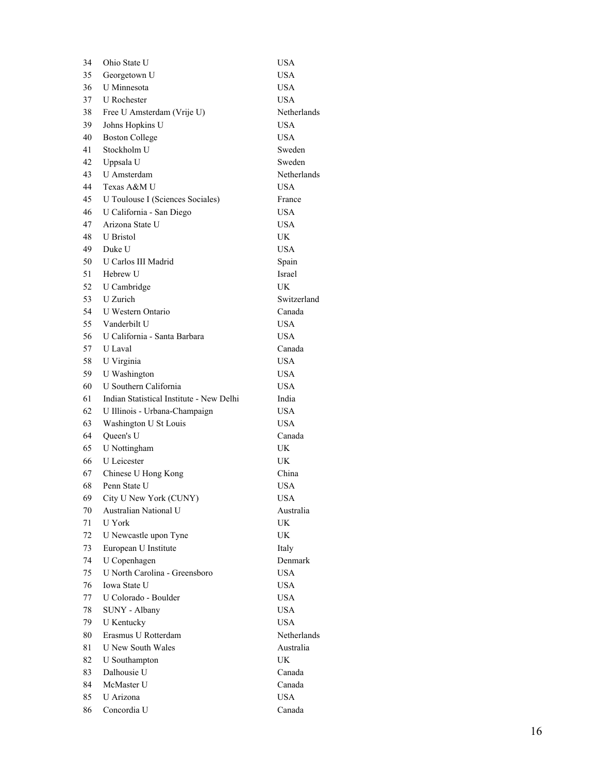|                                          | <b>USA</b>                                                                                                                                                                       |                                             |
|------------------------------------------|----------------------------------------------------------------------------------------------------------------------------------------------------------------------------------|---------------------------------------------|
| Georgetown U                             | <b>USA</b>                                                                                                                                                                       |                                             |
| U Minnesota                              | <b>USA</b>                                                                                                                                                                       |                                             |
| <b>U</b> Rochester                       | <b>USA</b>                                                                                                                                                                       |                                             |
| Free U Amsterdam (Vrije U)               | Netherlands                                                                                                                                                                      |                                             |
| Johns Hopkins U                          | <b>USA</b>                                                                                                                                                                       |                                             |
| <b>Boston College</b>                    | <b>USA</b>                                                                                                                                                                       |                                             |
| Stockholm U                              | Sweden                                                                                                                                                                           |                                             |
| Uppsala U                                | Sweden                                                                                                                                                                           |                                             |
| U Amsterdam                              | Netherlands                                                                                                                                                                      |                                             |
| Texas A&M U                              | <b>USA</b>                                                                                                                                                                       |                                             |
|                                          | France                                                                                                                                                                           |                                             |
| U California - San Diego                 | <b>USA</b>                                                                                                                                                                       |                                             |
| Arizona State U                          | <b>USA</b>                                                                                                                                                                       |                                             |
| U Bristol                                | UK                                                                                                                                                                               |                                             |
| Duke U                                   | <b>USA</b>                                                                                                                                                                       |                                             |
| U Carlos III Madrid                      |                                                                                                                                                                                  |                                             |
|                                          | Israel                                                                                                                                                                           |                                             |
|                                          | UK                                                                                                                                                                               |                                             |
| U Zurich                                 | Switzerland                                                                                                                                                                      |                                             |
| U Western Ontario                        | Canada                                                                                                                                                                           |                                             |
| Vanderbilt U                             | <b>USA</b>                                                                                                                                                                       |                                             |
| U California - Santa Barbara             | <b>USA</b>                                                                                                                                                                       |                                             |
| U Laval                                  | Canada                                                                                                                                                                           |                                             |
|                                          |                                                                                                                                                                                  |                                             |
|                                          | <b>USA</b>                                                                                                                                                                       |                                             |
| U Southern California                    | <b>USA</b>                                                                                                                                                                       |                                             |
| Indian Statistical Institute - New Delhi | India                                                                                                                                                                            |                                             |
|                                          |                                                                                                                                                                                  |                                             |
|                                          | <b>USA</b>                                                                                                                                                                       |                                             |
|                                          |                                                                                                                                                                                  |                                             |
|                                          | UK                                                                                                                                                                               |                                             |
|                                          |                                                                                                                                                                                  |                                             |
|                                          |                                                                                                                                                                                  |                                             |
| U Leicester                              | UK                                                                                                                                                                               |                                             |
| Chinese U Hong Kong                      | China                                                                                                                                                                            |                                             |
| Penn State U                             | <b>USA</b>                                                                                                                                                                       |                                             |
| City U New York (CUNY)                   | <b>USA</b>                                                                                                                                                                       |                                             |
| Australian National U                    | Australia                                                                                                                                                                        |                                             |
| U York                                   | UK                                                                                                                                                                               |                                             |
| U Newcastle upon Tyne                    | UK                                                                                                                                                                               |                                             |
| European U Institute                     | Italy                                                                                                                                                                            |                                             |
| U Copenhagen                             | Denmark                                                                                                                                                                          |                                             |
| U North Carolina - Greensboro            | <b>USA</b>                                                                                                                                                                       |                                             |
| Iowa State U                             | <b>USA</b>                                                                                                                                                                       |                                             |
| U Colorado - Boulder                     | <b>USA</b>                                                                                                                                                                       |                                             |
| SUNY - Albany                            | <b>USA</b>                                                                                                                                                                       |                                             |
| <b>U</b> Kentucky                        | <b>USA</b><br>Netherlands                                                                                                                                                        |                                             |
| Erasmus U Rotterdam                      |                                                                                                                                                                                  |                                             |
| <b>U</b> New South Wales                 | Australia                                                                                                                                                                        |                                             |
| U Southampton                            | UK                                                                                                                                                                               |                                             |
| Dalhousie U<br>McMaster U                | Canada                                                                                                                                                                           |                                             |
| U Arizona                                | Canada<br><b>USA</b>                                                                                                                                                             |                                             |
|                                          | U Toulouse I (Sciences Sociales)<br>Hebrew U<br>U Cambridge<br>U Virginia<br>U Washington<br>U Illinois - Urbana-Champaign<br>Washington U St Louis<br>Queen's U<br>U Nottingham | Spain<br><b>USA</b><br><b>USA</b><br>Canada |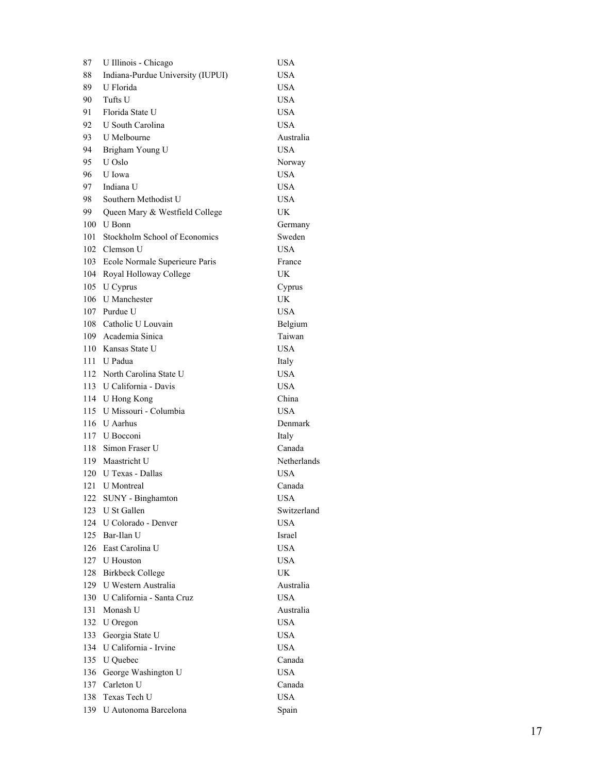| 87         | U Illinois - Chicago              | <b>USA</b>           |
|------------|-----------------------------------|----------------------|
| 88         | Indiana-Purdue University (IUPUI) | <b>USA</b>           |
| 89         | U Florida                         | USA                  |
| 90         | Tufts U                           | USA                  |
| 91         | Florida State U                   | <b>USA</b>           |
| 92         | <b>U</b> South Carolina           | USA                  |
| 93         | U Melbourne                       | Australia            |
| 94         | Brigham Young U                   | USA                  |
| 95         | U Oslo                            | Norway               |
| 96         | U Iowa                            | <b>USA</b>           |
| 97         | Indiana U                         | <b>USA</b>           |
| 98         | Southern Methodist U              | <b>USA</b>           |
| 99.        | Queen Mary & Westfield College    | UK                   |
| 100        | U Bonn                            | Germany              |
| 101        | Stockholm School of Economics     | Sweden               |
| 102        | Clemson U                         | USA                  |
|            |                                   |                      |
| 103        | Ecole Normale Superieure Paris    | France               |
| 104        | Royal Holloway College            | UK                   |
| 105        | U Cyprus                          | Cyprus               |
| 106        | <b>U</b> Manchester               | UK                   |
| 107        | Purdue U                          | USA                  |
| 108        | Catholic U Louvain                | Belgium              |
| 109        | Academia Sinica                   | Taiwan               |
| 110        | Kansas State U                    | USA                  |
| 111        | U Padua                           | Italy                |
| 112        | North Carolina State U            | <b>USA</b>           |
| 113        | U California - Davis              | USA                  |
| 114        | U Hong Kong                       | China                |
| 115        | U Missouri - Columbia             | USA                  |
| 116        | <b>U</b> Aarhus                   | Denmark              |
| 117        | U Bocconi                         | Italy                |
| 118        | Simon Fraser U                    | Canada               |
| 119        | Maastricht U                      | Netherlands          |
| 120        | U Texas - Dallas                  | USA                  |
| 121        | <b>U</b> Montreal                 | Canada               |
| 122        | SUNY - Binghamton                 | USA                  |
| 123        | U St Gallen                       | Switzerland          |
| 124        | U Colorado - Denver               | <b>USA</b>           |
| 125        | Bar-Ilan U                        | Israel               |
| 126        | East Carolina U                   | USA                  |
|            | 127 U Houston                     | USA                  |
| 128        | <b>Birkbeck College</b>           | UK                   |
| 129        | U Western Australia               | Australia            |
| 130        | U California - Santa Cruz         | USA                  |
| 131        | Monash U                          | Australia            |
| 132        | U Oregon                          | <b>USA</b>           |
| 133        | Georgia State U                   | <b>USA</b>           |
| 134        | U California - Irvine             | <b>USA</b>           |
|            |                                   |                      |
| 135<br>136 | U Quebec                          | Canada<br><b>USA</b> |
|            | George Washington U<br>Carleton U |                      |
| 137        |                                   | Canada               |
| 138        | Texas Tech U                      | <b>USA</b>           |
| 139        | U Autonoma Barcelona              | Spain                |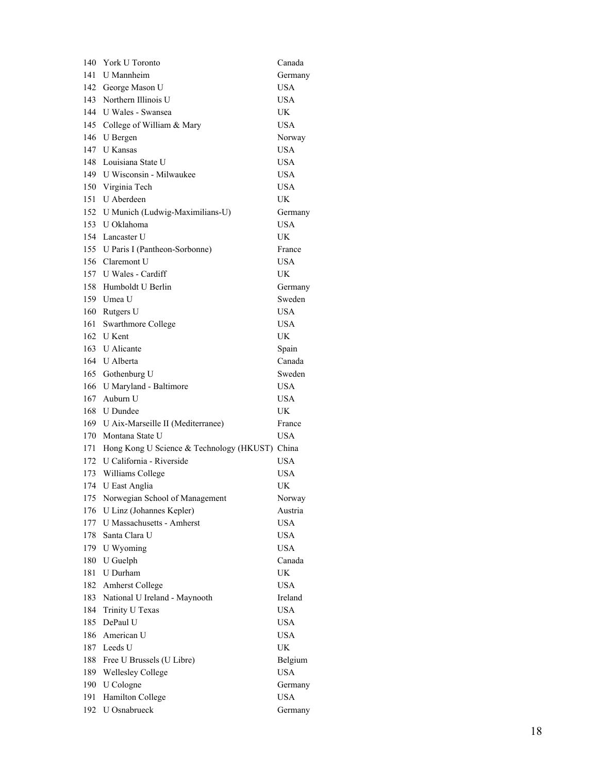| 140 | York U Toronto                                     | Canada     |
|-----|----------------------------------------------------|------------|
| 141 | U Mannheim                                         | Germany    |
| 142 | George Mason U                                     | <b>USA</b> |
| 143 | Northern Illinois U                                | <b>USA</b> |
| 144 | U Wales - Swansea                                  | UK         |
|     | 145 College of William & Mary                      | <b>USA</b> |
|     | 146 U Bergen                                       | Norway     |
|     | 147 U Kansas                                       | <b>USA</b> |
|     | 148 Louisiana State U                              | <b>USA</b> |
|     | 149 U Wisconsin - Milwaukee                        | <b>USA</b> |
|     | 150 Virginia Tech                                  | <b>USA</b> |
|     | 151 U Aberdeen                                     | UK         |
|     | 152 U Munich (Ludwig-Maximilians-U)                | Germany    |
|     | 153 U Oklahoma                                     | <b>USA</b> |
|     | 154 Lancaster U                                    | UK         |
|     | 155 U Paris I (Pantheon-Sorbonne)                  | France     |
|     | 156 Claremont U                                    | <b>USA</b> |
|     | 157 U Wales - Cardiff                              | UK         |
| 158 | Humboldt U Berlin                                  | Germany    |
|     | 159 Umea U                                         | Sweden     |
|     | 160 Rutgers U                                      | <b>USA</b> |
|     | 161 Swarthmore College                             | <b>USA</b> |
|     | 162 U Kent                                         | UK         |
|     | 163 U Alicante                                     | Spain      |
|     | 164 U Alberta                                      | Canada     |
|     | 165 Gothenburg U                                   | Sweden     |
|     | 166 U Maryland - Baltimore                         | <b>USA</b> |
| 167 | Auburn U                                           | <b>USA</b> |
|     | 168 U Dundee                                       | UK         |
|     | 169 U Aix-Marseille II (Mediterranee)              | France     |
|     | 170 Montana State U                                | <b>USA</b> |
|     | 171 Hong Kong U Science & Technology (HKUST) China |            |
|     | 172 U California - Riverside                       | <b>USA</b> |
| 173 | Williams College                                   | <b>USA</b> |
| 174 | U East Anglia                                      | UK         |
| 175 | Norwegian School of Management                     | Norway     |
| 176 | U Linz (Johannes Kepler)                           | Austria    |
| 177 | <b>U</b> Massachusetts - Amherst                   | <b>USA</b> |
| 178 | Santa Clara U                                      | <b>USA</b> |
| 179 | U Wyoming                                          | <b>USA</b> |
| 180 | U Guelph                                           | Canada     |
| 181 | U Durham                                           | UK         |
| 182 | <b>Amherst College</b>                             | <b>USA</b> |
| 183 | National U Ireland - Maynooth                      | Ireland    |
| 184 | Trinity U Texas                                    | <b>USA</b> |
| 185 | DePaul U                                           | <b>USA</b> |
| 186 | American U                                         | <b>USA</b> |
|     | 187 Leeds U                                        | UK         |
| 188 | Free U Brussels (U Libre)                          | Belgium    |
|     | 189 Wellesley College                              | <b>USA</b> |
| 190 | U Cologne                                          | Germany    |
| 191 | Hamilton College                                   | <b>USA</b> |
| 192 | U Osnabrueck                                       | Germany    |
|     |                                                    |            |